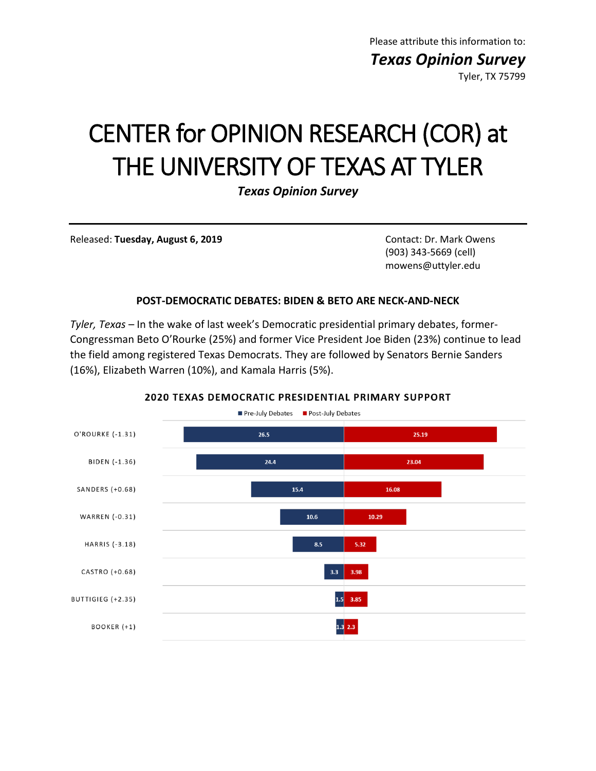Please attribute this information to: *Texas Opinion Survey* Tyler, TX 75799

# CENTER for OPINION RESEARCH (COR) at THE UNIVERSITY OF TEXAS AT TYLER

*Texas Opinion Survey*

Released: **Tuesday, August 6, 2019** Contact: Dr. Mark Owens

(903) 343-5669 (cell) mowens@uttyler.edu

#### **POST-DEMOCRATIC DEBATES: BIDEN & BETO ARE NECK-AND-NECK**

*Tyler, Texas* – In the wake of last week's Democratic presidential primary debates, former-Congressman Beto O'Rourke (25%) and former Vice President Joe Biden (23%) continue to lead the field among registered Texas Democrats. They are followed by Senators Bernie Sanders (16%), Elizabeth Warren (10%), and Kamala Harris (5%).



#### 2020 TEXAS DEMOCRATIC PRESIDENTIAL PRIMARY SUPPORT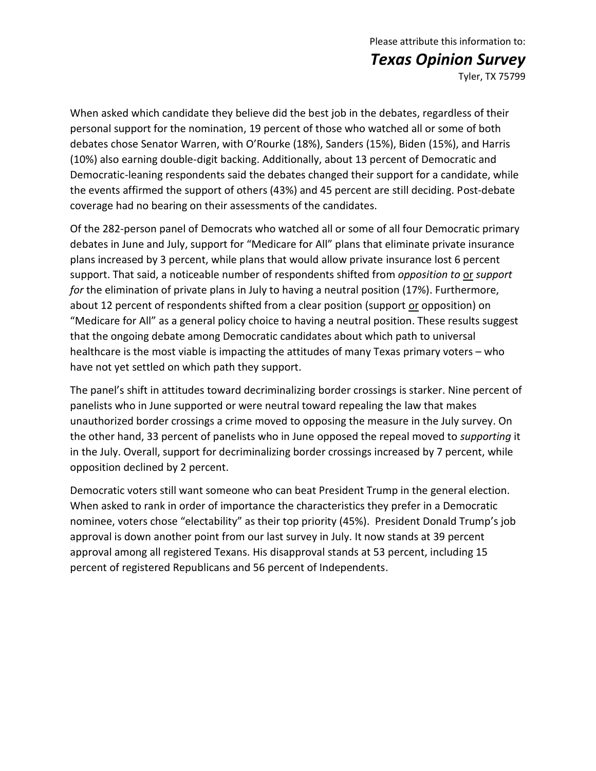## Please attribute this information to: *Texas Opinion Survey*

Tyler, TX 75799

When asked which candidate they believe did the best job in the debates, regardless of their personal support for the nomination, 19 percent of those who watched all or some of both debates chose Senator Warren, with O'Rourke (18%), Sanders (15%), Biden (15%), and Harris (10%) also earning double-digit backing. Additionally, about 13 percent of Democratic and Democratic-leaning respondents said the debates changed their support for a candidate, while the events affirmed the support of others (43%) and 45 percent are still deciding. Post-debate coverage had no bearing on their assessments of the candidates.

Of the 282-person panel of Democrats who watched all or some of all four Democratic primary debates in June and July, support for "Medicare for All" plans that eliminate private insurance plans increased by 3 percent, while plans that would allow private insurance lost 6 percent support. That said, a noticeable number of respondents shifted from *opposition to* or *support for* the elimination of private plans in July to having a neutral position (17%). Furthermore, about 12 percent of respondents shifted from a clear position (support or opposition) on "Medicare for All" as a general policy choice to having a neutral position. These results suggest that the ongoing debate among Democratic candidates about which path to universal healthcare is the most viable is impacting the attitudes of many Texas primary voters – who have not yet settled on which path they support.

The panel's shift in attitudes toward decriminalizing border crossings is starker. Nine percent of panelists who in June supported or were neutral toward repealing the law that makes unauthorized border crossings a crime moved to opposing the measure in the July survey. On the other hand, 33 percent of panelists who in June opposed the repeal moved to *supporting* it in the July. Overall, support for decriminalizing border crossings increased by 7 percent, while opposition declined by 2 percent.

Democratic voters still want someone who can beat President Trump in the general election. When asked to rank in order of importance the characteristics they prefer in a Democratic nominee, voters chose "electability" as their top priority (45%). President Donald Trump's job approval is down another point from our last survey in July. It now stands at 39 percent approval among all registered Texans. His disapproval stands at 53 percent, including 15 percent of registered Republicans and 56 percent of Independents.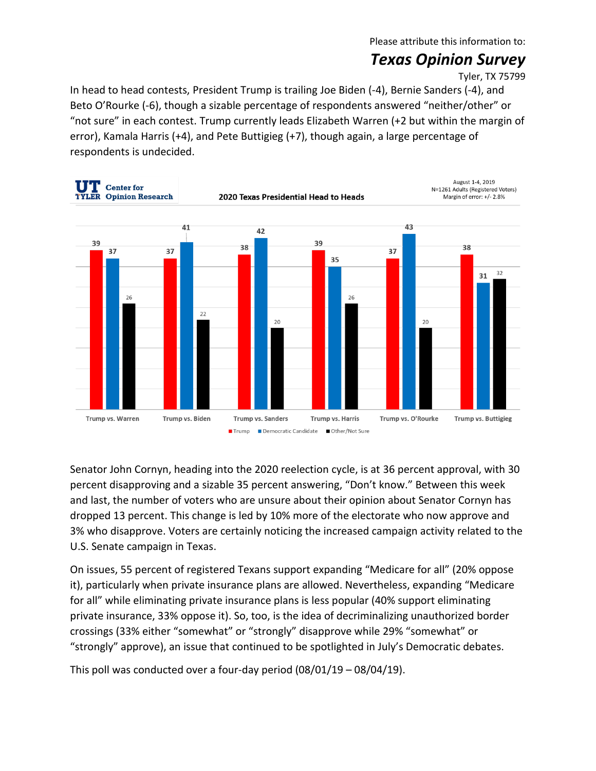Please attribute this information to:

### *Texas Opinion Survey*

Tyler, TX 75799

In head to head contests, President Trump is trailing Joe Biden (-4), Bernie Sanders (-4), and Beto O'Rourke (-6), though a sizable percentage of respondents answered "neither/other" or "not sure" in each contest. Trump currently leads Elizabeth Warren (+2 but within the margin of error), Kamala Harris (+4), and Pete Buttigieg (+7), though again, a large percentage of respondents is undecided.



Senator John Cornyn, heading into the 2020 reelection cycle, is at 36 percent approval, with 30 percent disapproving and a sizable 35 percent answering, "Don't know." Between this week and last, the number of voters who are unsure about their opinion about Senator Cornyn has dropped 13 percent. This change is led by 10% more of the electorate who now approve and 3% who disapprove. Voters are certainly noticing the increased campaign activity related to the U.S. Senate campaign in Texas.

On issues, 55 percent of registered Texans support expanding "Medicare for all" (20% oppose it), particularly when private insurance plans are allowed. Nevertheless, expanding "Medicare for all" while eliminating private insurance plans is less popular (40% support eliminating private insurance, 33% oppose it). So, too, is the idea of decriminalizing unauthorized border crossings (33% either "somewhat" or "strongly" disapprove while 29% "somewhat" or "strongly" approve), an issue that continued to be spotlighted in July's Democratic debates.

This poll was conducted over a four-day period (08/01/19 – 08/04/19).